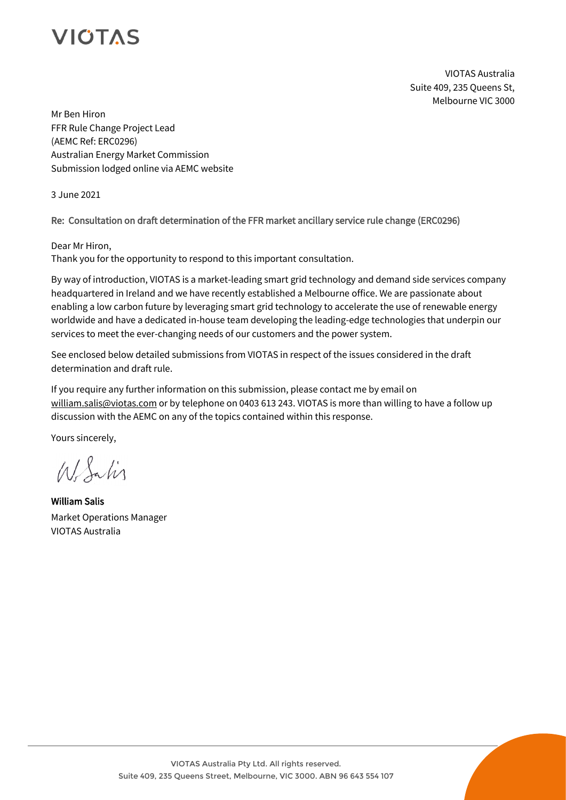VIOTAS Australia Suite 409, 235 Queens St, Melbourne VIC 3000

Mr Ben Hiron FFR Rule Change Project Lead (AEMC Ref: ERC0296) Australian Energy Market Commission Submission lodged online via AEMC website

3 June 2021

Re: Consultation on draft determination of the FFR market ancillary service rule change (ERC0296)

Dear Mr Hiron,

Thank you for the opportunity to respond to this important consultation.

By way of introduction, VIOTAS is a market-leading smart grid technology and demand side services company headquartered in Ireland and we have recently established a Melbourne office. We are passionate about enabling a low carbon future by leveraging smart grid technology to accelerate the use of renewable energy worldwide and have a dedicated in-house team developing the leading-edge technologies that underpin our services to meet the ever-changing needs of our customers and the power system.

See enclosed below detailed submissions from VIOTAS in respect of the issues considered in the draft determination and draft rule.

If you require any further information on this submission, please contact me by email on william.salis@viotas.com or by telephone on 0403 613 243. VIOTAS is more than willing to have a follow up discussion with the AEMC on any of the topics contained within this response.

Yours sincerely,

 $M$  Salis

William Salis Market Operations Manager VIOTAS Australia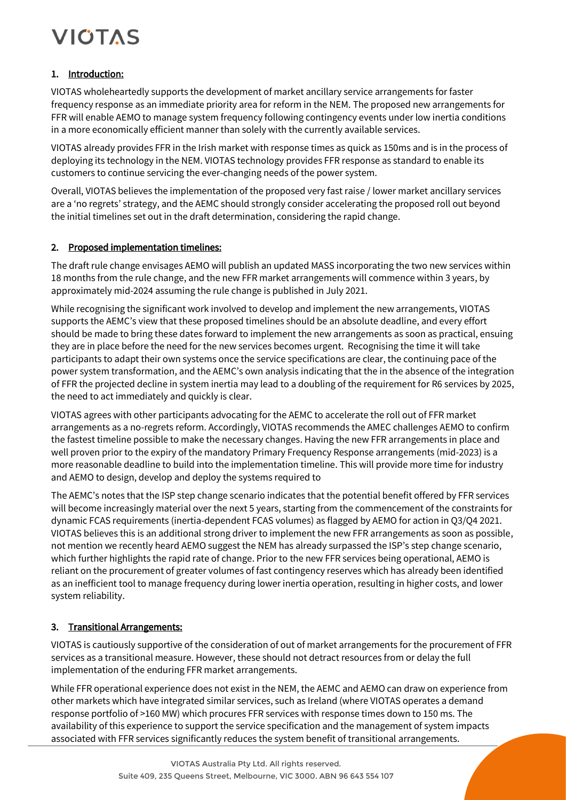## 1. Introduction:

VIOTAS wholeheartedly supports the development of market ancillary service arrangements for faster frequency response as an immediate priority area for reform in the NEM. The proposed new arrangements for FFR will enable AEMO to manage system frequency following contingency events under low inertia conditions in a more economically efficient manner than solely with the currently available services.

VIOTAS already provides FFR in the Irish market with response times as quick as 150ms and is in the process of deploying its technology in the NEM. VIOTAS technology provides FFR response as standard to enable its customers to continue servicing the ever-changing needs of the power system.

Overall, VIOTAS believes the implementation of the proposed very fast raise / lower market ancillary services are a 'no regrets' strategy, and the AEMC should strongly consider accelerating the proposed roll out beyond the initial timelines set out in the draft determination, considering the rapid change.

#### 2. Proposed implementation timelines:

The draft rule change envisages AEMO will publish an updated MASS incorporating the two new services within 18 months from the rule change, and the new FFR market arrangements will commence within 3 years, by approximately mid-2024 assuming the rule change is published in July 2021.

While recognising the significant work involved to develop and implement the new arrangements, VIOTAS supports the AEMC's view that these proposed timelines should be an absolute deadline, and every effort should be made to bring these dates forward to implement the new arrangements as soon as practical, ensuing they are in place before the need for the new services becomes urgent. Recognising the time it will take participants to adapt their own systems once the service specifications are clear, the continuing pace of the power system transformation, and the AEMC's own analysis indicating that the in the absence of the integration of FFR the projected decline in system inertia may lead to a doubling of the requirement for R6 services by 2025, the need to act immediately and quickly is clear.

VIOTAS agrees with other participants advocating for the AEMC to accelerate the roll out of FFR market arrangements as a no-regrets reform. Accordingly, VIOTAS recommends the AMEC challenges AEMO to confirm the fastest timeline possible to make the necessary changes. Having the new FFR arrangements in place and well proven prior to the expiry of the mandatory Primary Frequency Response arrangements (mid-2023) is a more reasonable deadline to build into the implementation timeline. This will provide more time for industry and AEMO to design, develop and deploy the systems required to

The AEMC's notes that the ISP step change scenario indicates that the potential benefit offered by FFR services will become increasingly material over the next 5 years, starting from the commencement of the constraints for dynamic FCAS requirements (inertia-dependent FCAS volumes) as flagged by AEMO for action in Q3/Q4 2021. VIOTAS believes this is an additional strong driver to implement the new FFR arrangements as soon as possible, not mention we recently heard AEMO suggest the NEM has already surpassed the ISP's step change scenario, which further highlights the rapid rate of change. Prior to the new FFR services being operational, AEMO is reliant on the procurement of greater volumes of fast contingency reserves which has already been identified as an inefficient tool to manage frequency during lower inertia operation, resulting in higher costs, and lower system reliability.

## 3. Transitional Arrangements:

VIOTAS is cautiously supportive of the consideration of out of market arrangements for the procurement of FFR services as a transitional measure. However, these should not detract resources from or delay the full implementation of the enduring FFR market arrangements.

While FFR operational experience does not exist in the NEM, the AEMC and AEMO can draw on experience from other markets which have integrated similar services, such as Ireland (where VIOTAS operates a demand response portfolio of >160 MW) which procures FFR services with response times down to 150 ms. The availability of this experience to support the service specification and the management of system impacts associated with FFR services significantly reduces the system benefit of transitional arrangements.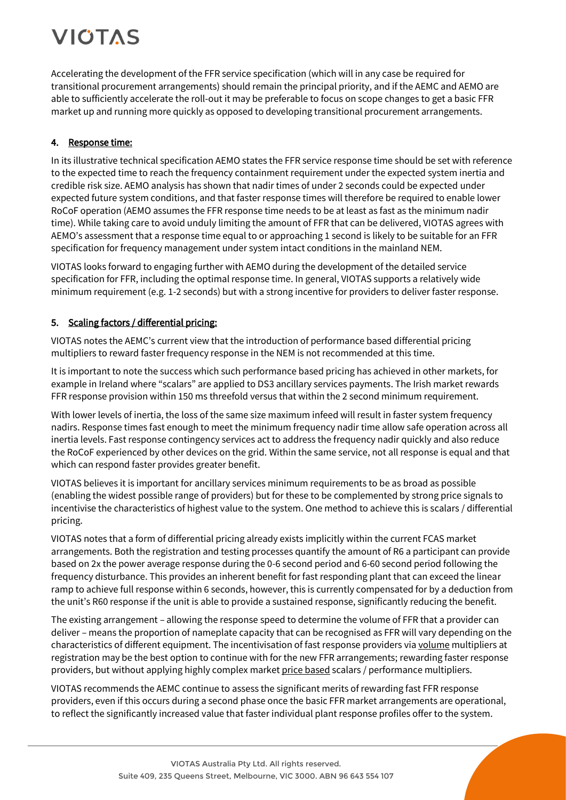Accelerating the development of the FFR service specification (which will in any case be required for transitional procurement arrangements) should remain the principal priority, and if the AEMC and AEMO are able to sufficiently accelerate the roll-out it may be preferable to focus on scope changes to get a basic FFR market up and running more quickly as opposed to developing transitional procurement arrangements.

## 4. Response time:

In its illustrative technical specification AEMO states the FFR service response time should be set with reference to the expected time to reach the frequency containment requirement under the expected system inertia and credible risk size. AEMO analysis has shown that nadir times of under 2 seconds could be expected under expected future system conditions, and that faster response times will therefore be required to enable lower RoCoF operation (AEMO assumes the FFR response time needs to be at least as fast as the minimum nadir time). While taking care to avoid unduly limiting the amount of FFR that can be delivered, VIOTAS agrees with AEMO's assessment that a response time equal to or approaching 1 second is likely to be suitable for an FFR specification for frequency management under system intact conditions in the mainland NEM.

VIOTAS looks forward to engaging further with AEMO during the development of the detailed service specification for FFR, including the optimal response time. In general, VIOTAS supports a relatively wide minimum requirement (e.g. 1-2 seconds) but with a strong incentive for providers to deliver faster response.

## 5. Scaling factors / differential pricing:

VIOTAS notes the AEMC's current view that the introduction of performance based differential pricing multipliers to reward faster frequency response in the NEM is not recommended at this time.

It is important to note the success which such performance based pricing has achieved in other markets, for example in Ireland where "scalars" are applied to DS3 ancillary services payments. The Irish market rewards FFR response provision within 150 ms threefold versus that within the 2 second minimum requirement.

With lower levels of inertia, the loss of the same size maximum infeed will result in faster system frequency nadirs. Response times fast enough to meet the minimum frequency nadir time allow safe operation across all inertia levels. Fast response contingency services act to address the frequency nadir quickly and also reduce the RoCoF experienced by other devices on the grid. Within the same service, not all response is equal and that which can respond faster provides greater benefit.

VIOTAS believes it is important for ancillary services minimum requirements to be as broad as possible (enabling the widest possible range of providers) but for these to be complemented by strong price signals to incentivise the characteristics of highest value to the system. One method to achieve this is scalars / differential pricing.

VIOTAS notes that a form of differential pricing already exists implicitly within the current FCAS market arrangements. Both the registration and testing processes quantify the amount of R6 a participant can provide based on 2x the power average response during the 0-6 second period and 6-60 second period following the frequency disturbance. This provides an inherent benefit for fast responding plant that can exceed the linear ramp to achieve full response within 6 seconds, however, this is currently compensated for by a deduction from the unit's R60 response if the unit is able to provide a sustained response, significantly reducing the benefit.

The existing arrangement – allowing the response speed to determine the volume of FFR that a provider can deliver – means the proportion of nameplate capacity that can be recognised as FFR will vary depending on the characteristics of different equipment. The incentivisation of fast response providers via volume multipliers at registration may be the best option to continue with for the new FFR arrangements; rewarding faster response providers, but without applying highly complex market price based scalars / performance multipliers.

VIOTAS recommends the AEMC continue to assess the significant merits of rewarding fast FFR response providers, even if this occurs during a second phase once the basic FFR market arrangements are operational, to reflect the significantly increased value that faster individual plant response profiles offer to the system.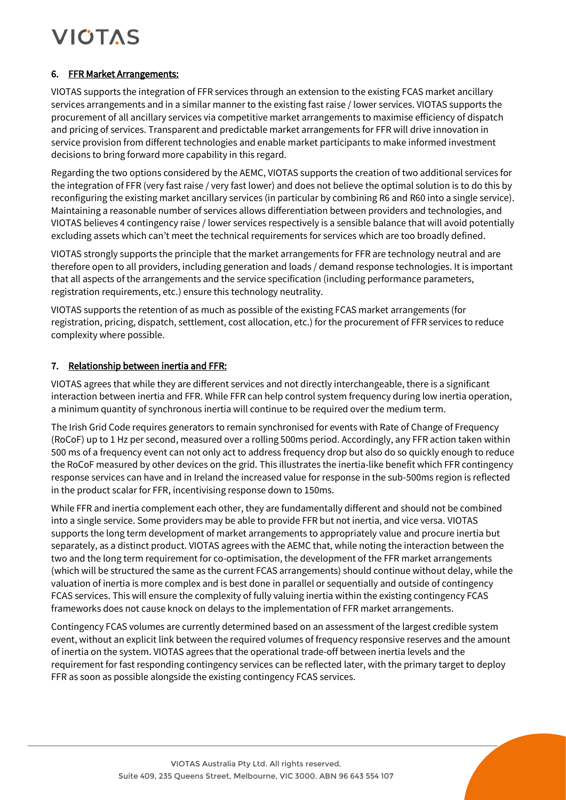### 6. FFR Market Arrangements:

VIOTAS supports the integration of FFR services through an extension to the existing FCAS market ancillary services arrangements and in a similar manner to the existing fast raise / lower services. VIOTAS supports the procurement of all ancillary services via competitive market arrangements to maximise efficiency of dispatch and pricing of services. Transparent and predictable market arrangements for FFR will drive innovation in service provision from different technologies and enable market participants to make informed investment decisions to bring forward more capability in this regard.

Regarding the two options considered by the AEMC, VIOTAS supports the creation of two additional services for the integration of FFR (very fast raise / very fast lower) and does not believe the optimal solution is to do this by reconfiguring the existing market ancillary services (in particular by combining R6 and R60 into a single service). Maintaining a reasonable number of services allows differentiation between providers and technologies, and VIOTAS believes 4 contingency raise / lower services respectively is a sensible balance that will avoid potentially excluding assets which can't meet the technical requirements for services which are too broadly defined.

VIOTAS strongly supports the principle that the market arrangements for FFR are technology neutral and are therefore open to all providers, including generation and loads / demand response technologies. It is important that all aspects of the arrangements and the service specification (including performance parameters, registration requirements, etc.) ensure this technology neutrality.

VIOTAS supports the retention of as much as possible of the existing FCAS market arrangements (for registration, pricing, dispatch, settlement, cost allocation, etc.) for the procurement of FFR services to reduce complexity where possible.

### 7. Relationship between inertia and FFR:

VIOTAS agrees that while they are different services and not directly interchangeable, there is a significant interaction between inertia and FFR. While FFR can help control system frequency during low inertia operation, a minimum quantity of synchronous inertia will continue to be required over the medium term.

The Irish Grid Code requires generators to remain synchronised for events with Rate of Change of Frequency (RoCoF) up to 1 Hz per second, measured over a rolling 500ms period. Accordingly, any FFR action taken within 500 ms of a frequency event can not only act to address frequency drop but also do so quickly enough to reduce the RoCoF measured by other devices on the grid. This illustrates the inertia-like benefit which FFR contingency response services can have and in Ireland the increased value for response in the sub-500ms region is reflected in the product scalar for FFR, incentivising response down to 150ms.

While FFR and inertia complement each other, they are fundamentally different and should not be combined into a single service. Some providers may be able to provide FFR but not inertia, and vice versa. VIOTAS supports the long term development of market arrangements to appropriately value and procure inertia but separately, as a distinct product. VIOTAS agrees with the AEMC that, while noting the interaction between the two and the long term requirement for co-optimisation, the development of the FFR market arrangements (which will be structured the same as the current FCAS arrangements) should continue without delay, while the valuation of inertia is more complex and is best done in parallel or sequentially and outside of contingency FCAS services. This will ensure the complexity of fully valuing inertia within the existing contingency FCAS frameworks does not cause knock on delays to the implementation of FFR market arrangements.

Contingency FCAS volumes are currently determined based on an assessment of the largest credible system event, without an explicit link between the required volumes of frequency responsive reserves and the amount of inertia on the system. VIOTAS agrees that the operational trade-off between inertia levels and the requirement for fast responding contingency services can be reflected later, with the primary target to deploy FFR as soon as possible alongside the existing contingency FCAS services.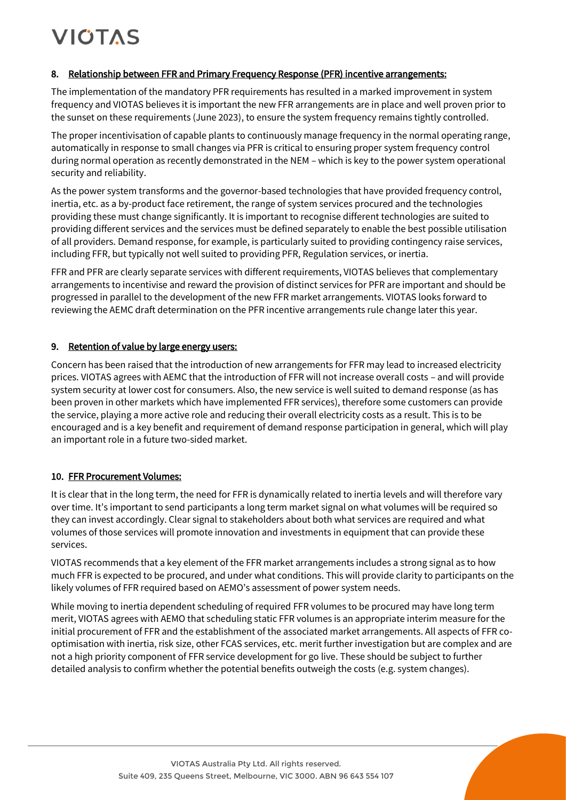#### 8. Relationship between FFR and Primary Frequency Response (PFR) incentive arrangements:

The implementation of the mandatory PFR requirements has resulted in a marked improvement in system frequency and VIOTAS believes it is important the new FFR arrangements are in place and well proven prior to the sunset on these requirements (June 2023), to ensure the system frequency remains tightly controlled.

The proper incentivisation of capable plants to continuously manage frequency in the normal operating range, automatically in response to small changes via PFR is critical to ensuring proper system frequency control during normal operation as recently demonstrated in the NEM – which is key to the power system operational security and reliability.

As the power system transforms and the governor-based technologies that have provided frequency control, inertia, etc. as a by-product face retirement, the range of system services procured and the technologies providing these must change significantly. It is important to recognise different technologies are suited to providing different services and the services must be defined separately to enable the best possible utilisation of all providers. Demand response, for example, is particularly suited to providing contingency raise services, including FFR, but typically not well suited to providing PFR, Regulation services, or inertia.

FFR and PFR are clearly separate services with different requirements, VIOTAS believes that complementary arrangements to incentivise and reward the provision of distinct services for PFR are important and should be progressed in parallel to the development of the new FFR market arrangements. VIOTAS looks forward to reviewing the AEMC draft determination on the PFR incentive arrangements rule change later this year.

#### 9. Retention of value by large energy users:

Concern has been raised that the introduction of new arrangements for FFR may lead to increased electricity prices. VIOTAS agrees with AEMC that the introduction of FFR will not increase overall costs – and will provide system security at lower cost for consumers. Also, the new service is well suited to demand response (as has been proven in other markets which have implemented FFR services), therefore some customers can provide the service, playing a more active role and reducing their overall electricity costs as a result. This is to be encouraged and is a key benefit and requirement of demand response participation in general, which will play an important role in a future two-sided market.

#### 10. FFR Procurement Volumes:

It is clear that in the long term, the need for FFR is dynamically related to inertia levels and will therefore vary over time. It's important to send participants a long term market signal on what volumes will be required so they can invest accordingly. Clear signal to stakeholders about both what services are required and what volumes of those services will promote innovation and investments in equipment that can provide these services.

VIOTAS recommends that a key element of the FFR market arrangements includes a strong signal as to how much FFR is expected to be procured, and under what conditions. This will provide clarity to participants on the likely volumes of FFR required based on AEMO's assessment of power system needs.

While moving to inertia dependent scheduling of required FFR volumes to be procured may have long term merit, VIOTAS agrees with AEMO that scheduling static FFR volumes is an appropriate interim measure for the initial procurement of FFR and the establishment of the associated market arrangements. All aspects of FFR cooptimisation with inertia, risk size, other FCAS services, etc. merit further investigation but are complex and are not a high priority component of FFR service development for go live. These should be subject to further detailed analysis to confirm whether the potential benefits outweigh the costs (e.g. system changes).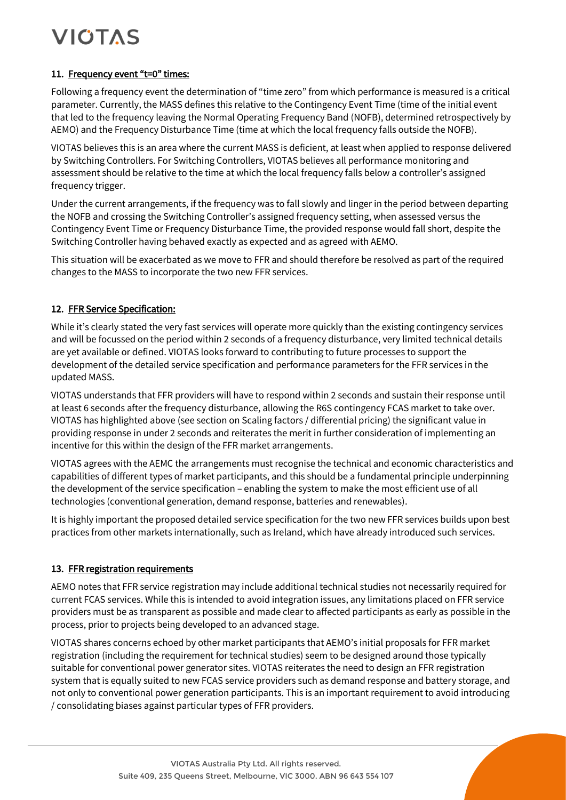#### 11. Frequency event "t=0" times:

Following a frequency event the determination of "time zero" from which performance is measured is a critical parameter. Currently, the MASS defines this relative to the Contingency Event Time (time of the initial event that led to the frequency leaving the Normal Operating Frequency Band (NOFB), determined retrospectively by AEMO) and the Frequency Disturbance Time (time at which the local frequency falls outside the NOFB).

VIOTAS believes this is an area where the current MASS is deficient, at least when applied to response delivered by Switching Controllers. For Switching Controllers, VIOTAS believes all performance monitoring and assessment should be relative to the time at which the local frequency falls below a controller's assigned frequency trigger.

Under the current arrangements, if the frequency was to fall slowly and linger in the period between departing the NOFB and crossing the Switching Controller's assigned frequency setting, when assessed versus the Contingency Event Time or Frequency Disturbance Time, the provided response would fall short, despite the Switching Controller having behaved exactly as expected and as agreed with AEMO.

This situation will be exacerbated as we move to FFR and should therefore be resolved as part of the required changes to the MASS to incorporate the two new FFR services.

### 12. FFR Service Specification:

While it's clearly stated the very fast services will operate more quickly than the existing contingency services and will be focussed on the period within 2 seconds of a frequency disturbance, very limited technical details are yet available or defined. VIOTAS looks forward to contributing to future processes to support the development of the detailed service specification and performance parameters for the FFR services in the updated MASS.

VIOTAS understands that FFR providers will have to respond within 2 seconds and sustain their response until at least 6 seconds after the frequency disturbance, allowing the R6S contingency FCAS market to take over. VIOTAS has highlighted above (see section on Scaling factors / differential pricing) the significant value in providing response in under 2 seconds and reiterates the merit in further consideration of implementing an incentive for this within the design of the FFR market arrangements.

VIOTAS agrees with the AEMC the arrangements must recognise the technical and economic characteristics and capabilities of different types of market participants, and this should be a fundamental principle underpinning the development of the service specification – enabling the system to make the most efficient use of all technologies (conventional generation, demand response, batteries and renewables).

It is highly important the proposed detailed service specification for the two new FFR services builds upon best practices from other markets internationally, such as Ireland, which have already introduced such services.

#### 13. FFR registration requirements

AEMO notes that FFR service registration may include additional technical studies not necessarily required for current FCAS services. While this is intended to avoid integration issues, any limitations placed on FFR service providers must be as transparent as possible and made clear to affected participants as early as possible in the process, prior to projects being developed to an advanced stage.

VIOTAS shares concerns echoed by other market participants that AEMO's initial proposals for FFR market registration (including the requirement for technical studies) seem to be designed around those typically suitable for conventional power generator sites. VIOTAS reiterates the need to design an FFR registration system that is equally suited to new FCAS service providers such as demand response and battery storage, and not only to conventional power generation participants. This is an important requirement to avoid introducing / consolidating biases against particular types of FFR providers.